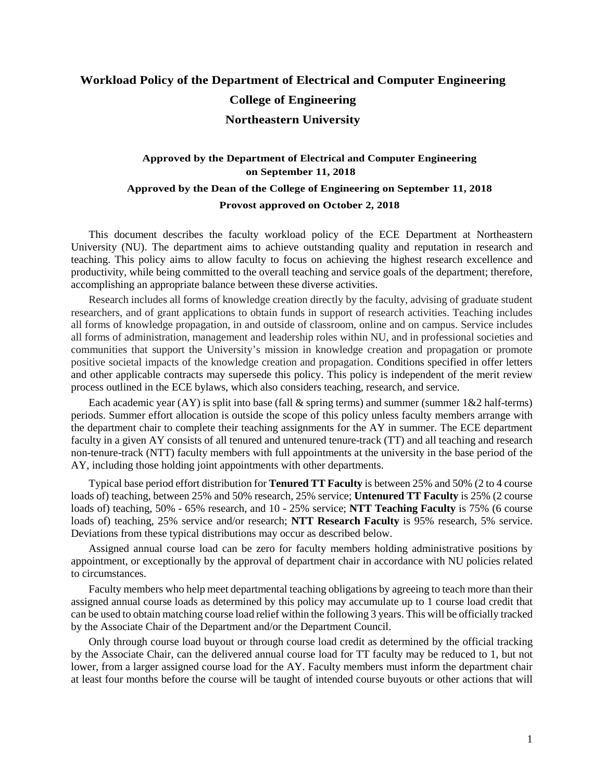## **Workload Policy of the Department of Electrical and Computer Engineering College of Engineering Northeastern University**

## **Approved by the Department of Electrical and Computer Engineering on September 11, 2018 Approved by the Dean of the College of Engineering on September 11, 2018 Provost approved on October 2, 2018**

This document describes the faculty workload policy of the ECE Department at Northeastern University (NU). The department aims to achieve outstanding quality and reputation in research and teaching. This policy aims to allow faculty to focus on achieving the highest research excellence and productivity, while being committed to the overall teaching and service goals of the department; therefore, accomplishing an appropriate balance between these diverse activities.

Research includes all forms of knowledge creation directly by the faculty, advising of graduate student researchers, and of grant applications to obtain funds in support of research activities. Teaching includes all forms of knowledge propagation, in and outside of classroom, online and on campus. Service includes all forms of administration, management and leadership roles within NU, and in professional societies and communities that support the University's mission in knowledge creation and propagation or promote positive societal impacts of the knowledge creation and propagation. Conditions specified in offer letters and other applicable contracts may supersede this policy. This policy is independent of the merit review process outlined in the ECE bylaws, which also considers teaching, research, and service.

Each academic year (AY) is split into base (fall  $\&$  spring terms) and summer (summer  $1\&2$  half-terms) periods. Summer effort allocation is outside the scope of this policy unless faculty members arrange with the department chair to complete their teaching assignments for the AY in summer. The ECE department faculty in a given AY consists of all tenured and untenured tenure-track (TT) and all teaching and research non-tenure-track (NTT) faculty members with full appointments at the university in the base period of the AY, including those holding joint appointments with other departments.

Typical base period effort distribution for **Tenured TT Faculty** is between 25% and 50% (2 to 4 course loads of) teaching, between 25% and 50% research, 25% service; **Untenured TT Faculty** is 25% (2 course loads of) teaching, 50% - 65% research, and 10 - 25% service; **NTT Teaching Faculty** is 75% (6 course loads of) teaching, 25% service and/or research; **NTT Research Faculty** is 95% research, 5% service. Deviations from these typical distributions may occur as described below.

Assigned annual course load can be zero for faculty members holding administrative positions by appointment, or exceptionally by the approval of department chair in accordance with NU policies related to circumstances.

Faculty members who help meet departmental teaching obligations by agreeing to teach more than their assigned annual course loads as determined by this policy may accumulate up to 1 course load credit that can be used to obtain matching course load relief within the following 3 years. This will be officially tracked by the Associate Chair of the Department and/or the Department Council.

Only through course load buyout or through course load credit as determined by the official tracking by the Associate Chair, can the delivered annual course load for TT faculty may be reduced to 1, but not lower, from a larger assigned course load for the AY. Faculty members must inform the department chair at least four months before the course will be taught of intended course buyouts or other actions that will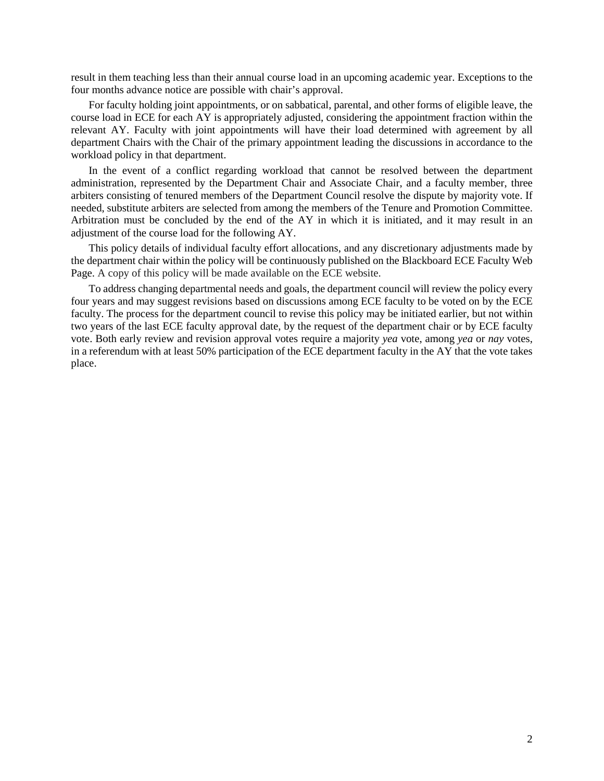result in them teaching less than their annual course load in an upcoming academic year. Exceptions to the four months advance notice are possible with chair's approval.

For faculty holding joint appointments, or on sabbatical, parental, and other forms of eligible leave, the course load in ECE for each AY is appropriately adjusted, considering the appointment fraction within the relevant AY. Faculty with joint appointments will have their load determined with agreement by all department Chairs with the Chair of the primary appointment leading the discussions in accordance to the workload policy in that department.

In the event of a conflict regarding workload that cannot be resolved between the department administration, represented by the Department Chair and Associate Chair, and a faculty member, three arbiters consisting of tenured members of the Department Council resolve the dispute by majority vote. If needed, substitute arbiters are selected from among the members of the Tenure and Promotion Committee. Arbitration must be concluded by the end of the AY in which it is initiated, and it may result in an adjustment of the course load for the following AY.

This policy details of individual faculty effort allocations, and any discretionary adjustments made by the department chair within the policy will be continuously published on the Blackboard ECE Faculty Web Page. A copy of this policy will be made available on the ECE website.

To address changing departmental needs and goals, the department council will review the policy every four years and may suggest revisions based on discussions among ECE faculty to be voted on by the ECE faculty. The process for the department council to revise this policy may be initiated earlier, but not within two years of the last ECE faculty approval date, by the request of the department chair or by ECE faculty vote. Both early review and revision approval votes require a majority *yea* vote, among *yea* or *nay* votes, in a referendum with at least 50% participation of the ECE department faculty in the AY that the vote takes place.